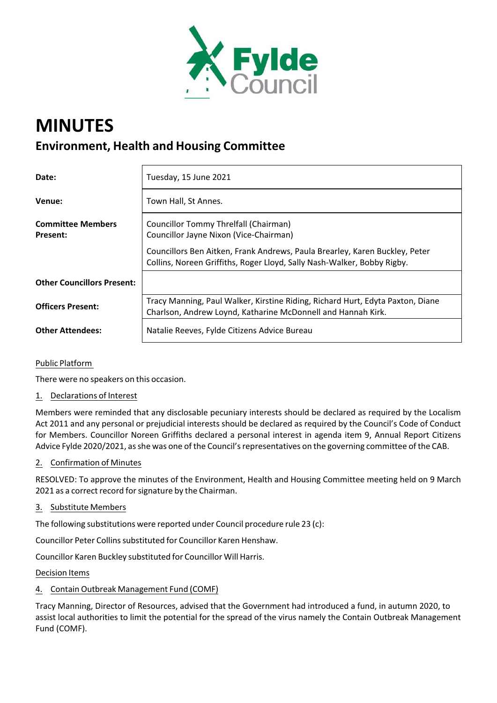

# **MINUTES Environment, Health and Housing Committee**

| Date:                                | Tuesday, 15 June 2021                                                                                                                                  |
|--------------------------------------|--------------------------------------------------------------------------------------------------------------------------------------------------------|
| Venue:                               | Town Hall, St Annes.                                                                                                                                   |
| <b>Committee Members</b><br>Present: | Councillor Tommy Threlfall (Chairman)<br>Councillor Jayne Nixon (Vice-Chairman)                                                                        |
|                                      | Councillors Ben Aitken, Frank Andrews, Paula Brearley, Karen Buckley, Peter<br>Collins, Noreen Griffiths, Roger Lloyd, Sally Nash-Walker, Bobby Rigby. |
| <b>Other Councillors Present:</b>    |                                                                                                                                                        |
| <b>Officers Present:</b>             | Tracy Manning, Paul Walker, Kirstine Riding, Richard Hurt, Edyta Paxton, Diane<br>Charlson, Andrew Loynd, Katharine McDonnell and Hannah Kirk.         |
| <b>Other Attendees:</b>              | Natalie Reeves, Fylde Citizens Advice Bureau                                                                                                           |

## Public Platform

There were no speakers on this occasion.

## 1. Declarations of Interest

Members were reminded that any disclosable pecuniary interests should be declared as required by the Localism Act 2011 and any personal or prejudicial interests should be declared as required by the Council's Code of Conduct for Members. Councillor Noreen Griffiths declared a personal interest in agenda item 9, Annual Report Citizens Advice Fylde 2020/2021, asshe was one of the Council'srepresentatives on the governing committee of the CAB.

## 2. Confirmation of Minutes

RESOLVED: To approve the minutes of the Environment, Health and Housing Committee meeting held on 9 March 2021 as a correct record for signature by the Chairman.

#### 3. Substitute Members

The following substitutions were reported under Council procedure rule 23 (c):

Councillor Peter Collins substituted for Councillor Karen Henshaw.

Councillor Karen Buckley substituted for Councillor Will Harris.

Decision Items

## 4. Contain Outbreak Management Fund (COMF)

Tracy Manning, Director of Resources, advised that the Government had introduced a fund, in autumn 2020, to assist local authorities to limit the potential for the spread of the virus namely the Contain Outbreak Management Fund (COMF).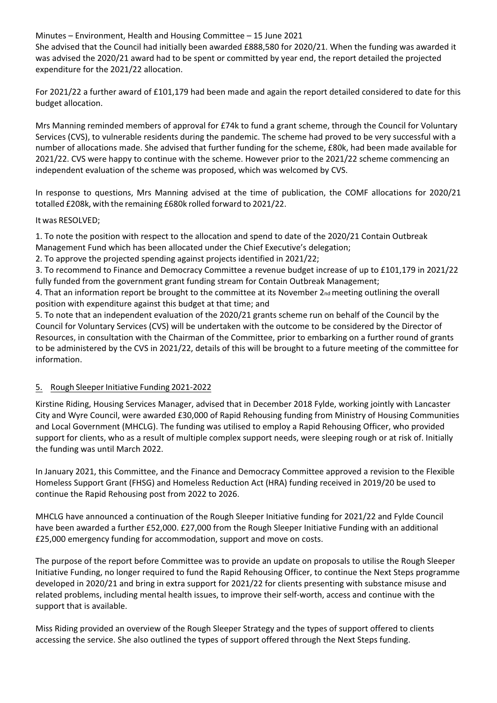Minutes – Environment, Health and Housing Committee – 15 June 2021

She advised that the Council had initially been awarded £888,580 for 2020/21. When the funding was awarded it was advised the 2020/21 award had to be spent or committed by year end, the report detailed the projected expenditure for the 2021/22 allocation.

For 2021/22 a further award of £101,179 had been made and again the report detailed considered to date for this budget allocation.

Mrs Manning reminded members of approval for £74k to fund a grant scheme, through the Council for Voluntary Services (CVS), to vulnerable residents during the pandemic. The scheme had proved to be very successful with a number of allocations made. She advised that further funding for the scheme, £80k, had been made available for 2021/22. CVS were happy to continue with the scheme. However prior to the 2021/22 scheme commencing an independent evaluation of the scheme was proposed, which was welcomed by CVS.

In response to questions, Mrs Manning advised at the time of publication, the COMF allocations for 2020/21 totalled £208k, with the remaining £680k rolled forward to 2021/22.

It was RESOLVED;

1. To note the position with respect to the allocation and spend to date of the 2020/21 Contain Outbreak Management Fund which has been allocated under the Chief Executive's delegation;

2. To approve the projected spending against projects identified in 2021/22;

3. To recommend to Finance and Democracy Committee a revenue budget increase of up to £101,179 in 2021/22 fully funded from the government grant funding stream for Contain Outbreak Management;

4. That an information report be brought to the committee at its November  $2_{nd}$  meeting outlining the overall position with expenditure against this budget at that time; and

5. To note that an independent evaluation of the 2020/21 grants scheme run on behalf of the Council by the Council for Voluntary Services (CVS) will be undertaken with the outcome to be considered by the Director of Resources, in consultation with the Chairman of the Committee, prior to embarking on a further round of grants to be administered by the CVS in 2021/22, details of this will be brought to a future meeting of the committee for information.

## 5. Rough Sleeper Initiative Funding 2021-2022

Kirstine Riding, Housing Services Manager, advised that in December 2018 Fylde, working jointly with Lancaster City and Wyre Council, were awarded £30,000 of Rapid Rehousing funding from Ministry of Housing Communities and Local Government (MHCLG). The funding was utilised to employ a Rapid Rehousing Officer, who provided support for clients, who as a result of multiple complex support needs, were sleeping rough or at risk of. Initially the funding was until March 2022.

In January 2021, this Committee, and the Finance and Democracy Committee approved a revision to the Flexible Homeless Support Grant (FHSG) and Homeless Reduction Act (HRA) funding received in 2019/20 be used to continue the Rapid Rehousing post from 2022 to 2026.

MHCLG have announced a continuation of the Rough Sleeper Initiative funding for 2021/22 and Fylde Council have been awarded a further £52,000. £27,000 from the Rough Sleeper Initiative Funding with an additional £25,000 emergency funding for accommodation, support and move on costs.

The purpose of the report before Committee was to provide an update on proposals to utilise the Rough Sleeper Initiative Funding, no longer required to fund the Rapid Rehousing Officer, to continue the Next Steps programme developed in 2020/21 and bring in extra support for 2021/22 for clients presenting with substance misuse and related problems, including mental health issues, to improve their self‐worth, access and continue with the support that is available.

Miss Riding provided an overview of the Rough Sleeper Strategy and the types of support offered to clients accessing the service. She also outlined the types of support offered through the Next Steps funding.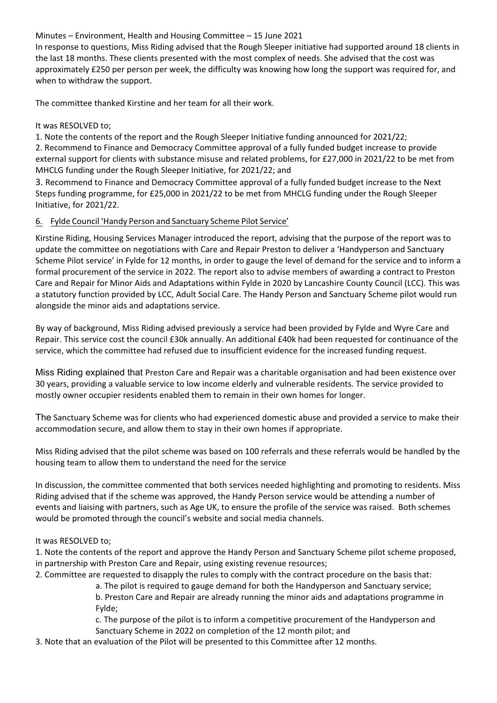Minutes – Environment, Health and Housing Committee – 15 June 2021

In response to questions, Miss Riding advised that the Rough Sleeper initiative had supported around 18 clients in the last 18 months. These clients presented with the most complex of needs. She advised that the cost was approximately £250 per person per week, the difficulty was knowing how long the support was required for, and when to withdraw the support.

The committee thanked Kirstine and her team for all their work.

It was RESOLVED to;

1. Note the contents of the report and the Rough Sleeper Initiative funding announced for 2021/22; 2. Recommend to Finance and Democracy Committee approval of a fully funded budget increase to provide external support for clients with substance misuse and related problems, for £27,000 in 2021/22 to be met from MHCLG funding under the Rough Sleeper Initiative, for 2021/22; and

3. Recommend to Finance and Democracy Committee approval of a fully funded budget increase to the Next Steps funding programme, for £25,000 in 2021/22 to be met from MHCLG funding under the Rough Sleeper Initiative, for 2021/22.

# 6. Fylde Council 'Handy Person and Sanctuary Scheme Pilot Service'

Kirstine Riding, Housing Services Manager introduced the report, advising that the purpose of the report was to update the committee on negotiations with Care and Repair Preston to deliver a 'Handyperson and Sanctuary Scheme Pilot service' in Fylde for 12 months, in order to gauge the level of demand for the service and to inform a formal procurement of the service in 2022. The report also to advise members of awarding a contract to Preston Care and Repair for Minor Aids and Adaptations within Fylde in 2020 by Lancashire County Council (LCC). This was a statutory function provided by LCC, Adult Social Care. The Handy Person and Sanctuary Scheme pilot would run alongside the minor aids and adaptations service.

By way of background, Miss Riding advised previously a service had been provided by Fylde and Wyre Care and Repair. This service cost the council £30k annually. An additional £40k had been requested for continuance of the service, which the committee had refused due to insufficient evidence for the increased funding request.

Miss Riding explained that Preston Care and Repair was a charitable organisation and had been existence over 30 years, providing a valuable service to low income elderly and vulnerable residents. The service provided to mostly owner occupier residents enabled them to remain in their own homes for longer.

The Sanctuary Scheme was for clients who had experienced domestic abuse and provided a service to make their accommodation secure, and allow them to stay in their own homes if appropriate.

Miss Riding advised that the pilot scheme was based on 100 referrals and these referrals would be handled by the housing team to allow them to understand the need for the service

In discussion, the committee commented that both services needed highlighting and promoting to residents. Miss Riding advised that if the scheme was approved, the Handy Person service would be attending a number of events and liaising with partners, such as Age UK, to ensure the profile of the service was raised. Both schemes would be promoted through the council's website and social media channels.

## It was RESOLVED to;

1. Note the contents of the report and approve the Handy Person and Sanctuary Scheme pilot scheme proposed, in partnership with Preston Care and Repair, using existing revenue resources;

- 2. Committee are requested to disapply the rules to comply with the contract procedure on the basis that:
	- a. The pilot is required to gauge demand for both the Handyperson and Sanctuary service;

b. Preston Care and Repair are already running the minor aids and adaptations programme in Fylde;

c. The purpose of the pilot is to inform a competitive procurement of the Handyperson and Sanctuary Scheme in 2022 on completion of the 12 month pilot; and

3. Note that an evaluation of the Pilot will be presented to this Committee after 12 months.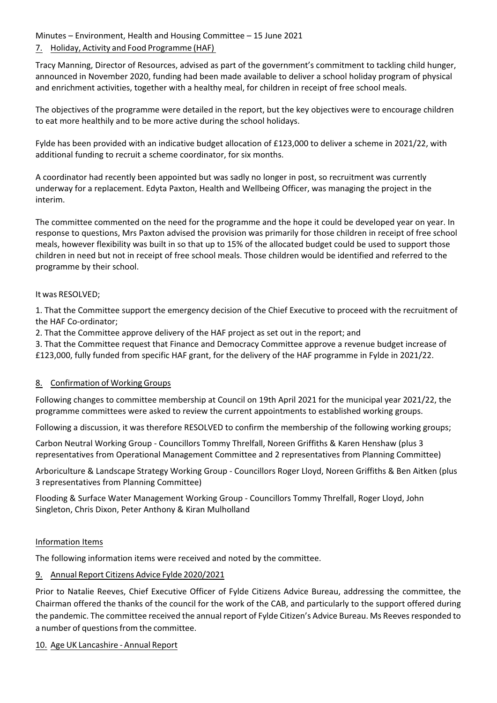Minutes – Environment, Health and Housing Committee – 15 June 2021 7. Holiday, Activity and Food Programme (HAF)

Tracy Manning, Director of Resources, advised as part of the government's commitment to tackling child hunger, announced in November 2020, funding had been made available to deliver a school holiday program of physical and enrichment activities, together with a healthy meal, for children in receipt of free school meals.

The objectives of the programme were detailed in the report, but the key objectives were to encourage children to eat more healthily and to be more active during the school holidays.

Fylde has been provided with an indicative budget allocation of £123,000 to deliver a scheme in 2021/22, with additional funding to recruit a scheme coordinator, for six months.

A coordinator had recently been appointed but was sadly no longer in post, so recruitment was currently underway for a replacement. Edyta Paxton, Health and Wellbeing Officer, was managing the project in the interim.

The committee commented on the need for the programme and the hope it could be developed year on year. In response to questions, Mrs Paxton advised the provision was primarily for those children in receipt of free school meals, however flexibility was built in so that up to 15% of the allocated budget could be used to support those children in need but not in receipt of free school meals. Those children would be identified and referred to the programme by their school.

#### It was RESOLVED;

1. That the Committee support the emergency decision of the Chief Executive to proceed with the recruitment of the HAF Co‐ordinator;

2. That the Committee approve delivery of the HAF project as set out in the report; and

3. That the Committee request that Finance and Democracy Committee approve a revenue budget increase of £123,000, fully funded from specific HAF grant, for the delivery of the HAF programme in Fylde in 2021/22.

## 8. Confirmation of Working Groups

Following changes to committee membership at Council on 19th April 2021 for the municipal year 2021/22, the programme committees were asked to review the current appointments to established working groups.

Following a discussion, it was therefore RESOLVED to confirm the membership of the following working groups;

Carbon Neutral Working Group ‐ Councillors Tommy Threlfall, Noreen Griffiths & Karen Henshaw (plus 3 representatives from Operational Management Committee and 2 representatives from Planning Committee)

Arboriculture & Landscape Strategy Working Group ‐ Councillors Roger Lloyd, Noreen Griffiths & Ben Aitken (plus 3 representatives from Planning Committee)

Flooding & Surface Water Management Working Group ‐ Councillors Tommy Threlfall, Roger Lloyd, John Singleton, Chris Dixon, Peter Anthony & Kiran Mulholland

#### Information Items

The following information items were received and noted by the committee.

## 9. Annual Report Citizens Advice Fylde 2020/2021

Prior to Natalie Reeves, Chief Executive Officer of Fylde Citizens Advice Bureau, addressing the committee, the Chairman offered the thanks of the council for the work of the CAB, and particularly to the support offered during the pandemic. The committee received the annual report of Fylde Citizen's Advice Bureau. Ms Reeves responded to a number of questions from the committee.

#### 10. Age UK Lancashire ‐ Annual Report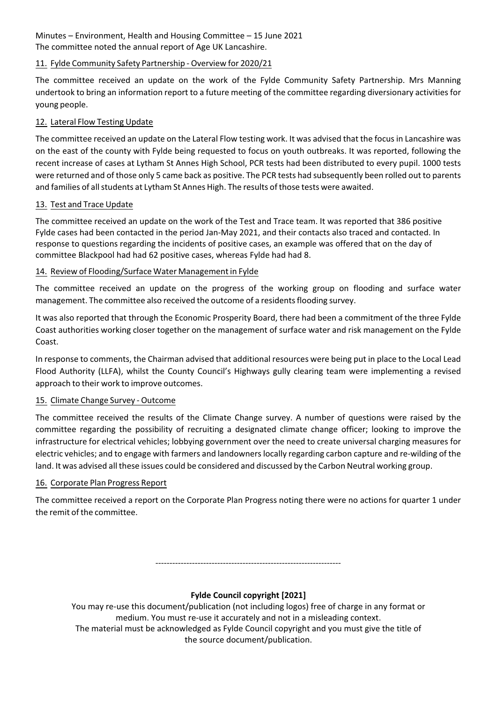Minutes – Environment, Health and Housing Committee – 15 June 2021 The committee noted the annual report of Age UK Lancashire.

# 11. Fylde Community Safety Partnership ‐ Overview for 2020/21

The committee received an update on the work of the Fylde Community Safety Partnership. Mrs Manning undertook to bring an information report to a future meeting of the committee regarding diversionary activities for young people.

# 12. Lateral Flow Testing Update

The committee received an update on the Lateral Flow testing work. It was advised that the focusin Lancashire was on the east of the county with Fylde being requested to focus on youth outbreaks. It was reported, following the recent increase of cases at Lytham St Annes High School, PCR tests had been distributed to every pupil. 1000 tests were returned and of those only 5 came back as positive. The PCR tests had subsequently been rolled out to parents and families of all students at Lytham St Annes High. The results of those tests were awaited.

## 13. Test and Trace Update

The committee received an update on the work of the Test and Trace team. It was reported that 386 positive Fylde cases had been contacted in the period Jan‐May 2021, and their contacts also traced and contacted. In response to questions regarding the incidents of positive cases, an example was offered that on the day of committee Blackpool had had 62 positive cases, whereas Fylde had had 8.

## 14. Review of Flooding/Surface Water Management in Fylde

The committee received an update on the progress of the working group on flooding and surface water management. The committee also received the outcome of a residentsflooding survey.

It was also reported that through the Economic Prosperity Board, there had been a commitment of the three Fylde Coast authorities working closer together on the management of surface water and risk management on the Fylde Coast.

In response to comments, the Chairman advised that additional resources were being put in place to the Local Lead Flood Authority (LLFA), whilst the County Council's Highways gully clearing team were implementing a revised approach to their work to improve outcomes.

## 15. Climate Change Survey ‐ Outcome

The committee received the results of the Climate Change survey. A number of questions were raised by the committee regarding the possibility of recruiting a designated climate change officer; looking to improve the infrastructure for electrical vehicles; lobbying government over the need to create universal charging measures for electric vehicles; and to engage with farmers and landownerslocally regarding carbon capture and re‐wilding of the land. It was advised all these issues could be considered and discussed by the Carbon Neutral working group.

## 16. Corporate Plan Progress Report

The committee received a report on the Corporate Plan Progress noting there were no actions for quarter 1 under the remit of the committee.

‐‐‐‐‐‐‐‐‐‐‐‐‐‐‐‐‐‐‐‐‐‐‐‐‐‐‐‐‐‐‐‐‐‐‐‐‐‐‐‐‐‐‐‐‐‐‐‐‐‐‐‐‐‐‐‐‐‐‐‐‐‐‐‐‐‐

# **Fylde Council copyright [2021]**

You may re‐use this document/publication (not including logos) free of charge in any format or medium. You must re‐use it accurately and not in a misleading context.

The material must be acknowledged as Fylde Council copyright and you must give the title of the source document/publication.